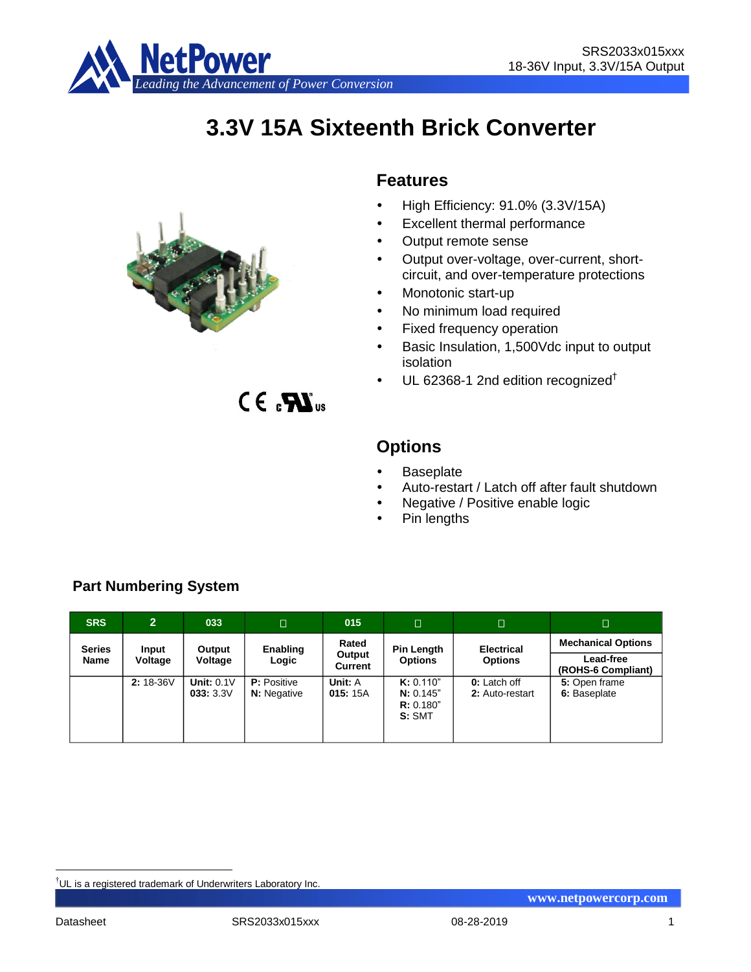

# **3.3V 15A Sixteenth Brick Converter**



 $CE. 33$ 

## **Features**

- $\bullet$  High Efficiency: 91.0% (3.3V/15A)
- Excellent thermal performance
- Output remote sense
- Output over-voltage, over-current, shortcircuit, and over-temperature protections
- Monotonic start-up
- No minimum load required
- Fixed frequency operation
- Basic Insulation, 1,500Vdc input to output isolation
- $\cdot$  UL 62368-1 2nd edition recognized<sup>†</sup>

# **Options**

- **Baseplate**
- Auto-restart / Latch off after fault shutdown
- Negative / Positive enable logic
- Pin lengths

| <b>SRS</b>            | $\overline{2}$   | 033                           | $\Box$                                   | 015                               | $\Box$                                       | $\Box$                                 | $\Box$                                                              |
|-----------------------|------------------|-------------------------------|------------------------------------------|-----------------------------------|----------------------------------------------|----------------------------------------|---------------------------------------------------------------------|
| <b>Series</b><br>Name | Input<br>Voltage | Output<br>Voltage             | Enabling<br>Logic                        | Rated<br>Output<br><b>Current</b> | Pin Length<br><b>Options</b>                 | <b>Electrical</b><br><b>Options</b>    | <b>Mechanical Options</b><br><b>Lead-free</b><br>(ROHS-6 Compliant) |
|                       | $2:18-36V$       | <b>Unit: 0.1V</b><br>033:3.3V | <b>P:</b> Positive<br><b>N:</b> Negative | Unit: A<br>015:15A                | K: 0.110"<br>N: 0.145"<br>R: 0.180"<br>S:SMT | <b>0:</b> Latch off<br>2: Auto-restart | 5: Open frame<br>6: Baseplate                                       |

## **Part Numbering System**

<u>.</u>

<sup>†</sup>UL is a registered trademark of Underwriters Laboratory Inc.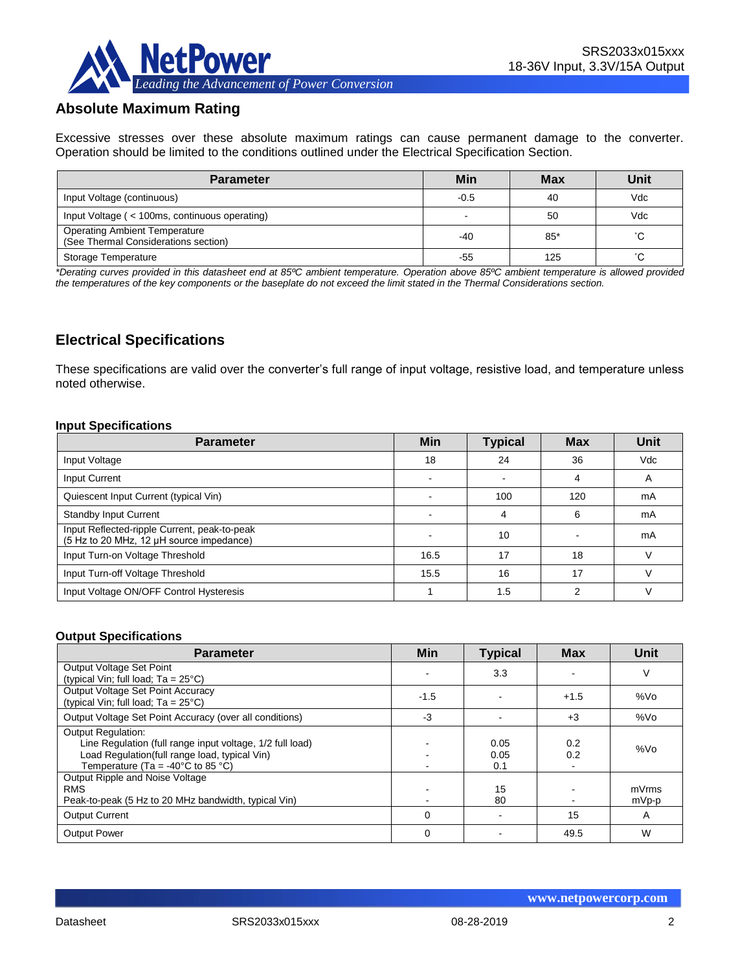

## **Absolute Maximum Rating**

Excessive stresses over these absolute maximum ratings can cause permanent damage to the converter. Operation should be limited to the conditions outlined under the Electrical Specification Section.

| <b>Parameter</b>                                                             | Min    | <b>Max</b> | Unit |
|------------------------------------------------------------------------------|--------|------------|------|
| Input Voltage (continuous)                                                   | $-0.5$ | 40         | Vdc  |
| Input Voltage (< 100ms, continuous operating)                                | -      | 50         | Vdc  |
| <b>Operating Ambient Temperature</b><br>(See Thermal Considerations section) | $-40$  | 85*        | °С   |
| <b>Storage Temperature</b>                                                   | -55    | 125        | °C.  |

*\*Derating curves provided in this datasheet end at 85ºC ambient temperature. Operation above 85ºC ambient temperature is allowed provided the temperatures of the key components or the baseplate do not exceed the limit stated in the Thermal Considerations section.*

## **Electrical Specifications**

These specifications are valid over the converter's full range of input voltage, resistive load, and temperature unless noted otherwise.

#### **Input Specifications**

| <b>Parameter</b>                                                                         | <b>Min</b> | <b>Typical</b> | <b>Max</b> | Unit |
|------------------------------------------------------------------------------------------|------------|----------------|------------|------|
| Input Voltage                                                                            | 18         | 24             | 36         | Vdc  |
| Input Current                                                                            |            |                | 4          | A    |
| Quiescent Input Current (typical Vin)                                                    |            | 100            | 120        | mA   |
| <b>Standby Input Current</b>                                                             |            | 4              | 6          | mA   |
| Input Reflected-ripple Current, peak-to-peak<br>(5 Hz to 20 MHz, 12 µH source impedance) |            | 10             |            | mA   |
| Input Turn-on Voltage Threshold                                                          | 16.5       | 17             | 18         |      |
| Input Turn-off Voltage Threshold                                                         | 15.5       | 16             | 17         |      |
| Input Voltage ON/OFF Control Hysteresis                                                  |            | 1.5            | າ          |      |

#### **Output Specifications**

| <b>Parameter</b>                                                                                                                                                                                  | <b>Min</b>  | <b>Typical</b>      | <b>Max</b> | Unit           |
|---------------------------------------------------------------------------------------------------------------------------------------------------------------------------------------------------|-------------|---------------------|------------|----------------|
| Output Voltage Set Point<br>(typical Vin; full load; $Ta = 25^{\circ}C$ )                                                                                                                         |             | 3.3                 |            | V              |
| Output Voltage Set Point Accuracy<br>(typical Vin; full load; $Ta = 25^{\circ}C$ )                                                                                                                | $-1.5$      |                     | $+1.5$     | %Vo            |
| Output Voltage Set Point Accuracy (over all conditions)                                                                                                                                           | -3          |                     | $+3$       | %Vo            |
| <b>Output Regulation:</b><br>Line Regulation (full range input voltage, 1/2 full load)<br>Load Regulation(full range load, typical Vin)<br>Temperature (Ta = -40 $^{\circ}$ C to 85 $^{\circ}$ C) |             | 0.05<br>0.05<br>0.1 | 0.2<br>0.2 | %Vo            |
| Output Ripple and Noise Voltage<br><b>RMS</b><br>Peak-to-peak (5 Hz to 20 MHz bandwidth, typical Vin)                                                                                             |             | 15<br>80            |            | mVrms<br>mVp-p |
| <b>Output Current</b>                                                                                                                                                                             | $\Omega$    |                     | 15         | A              |
| <b>Output Power</b>                                                                                                                                                                               | $\mathbf 0$ |                     | 49.5       | W              |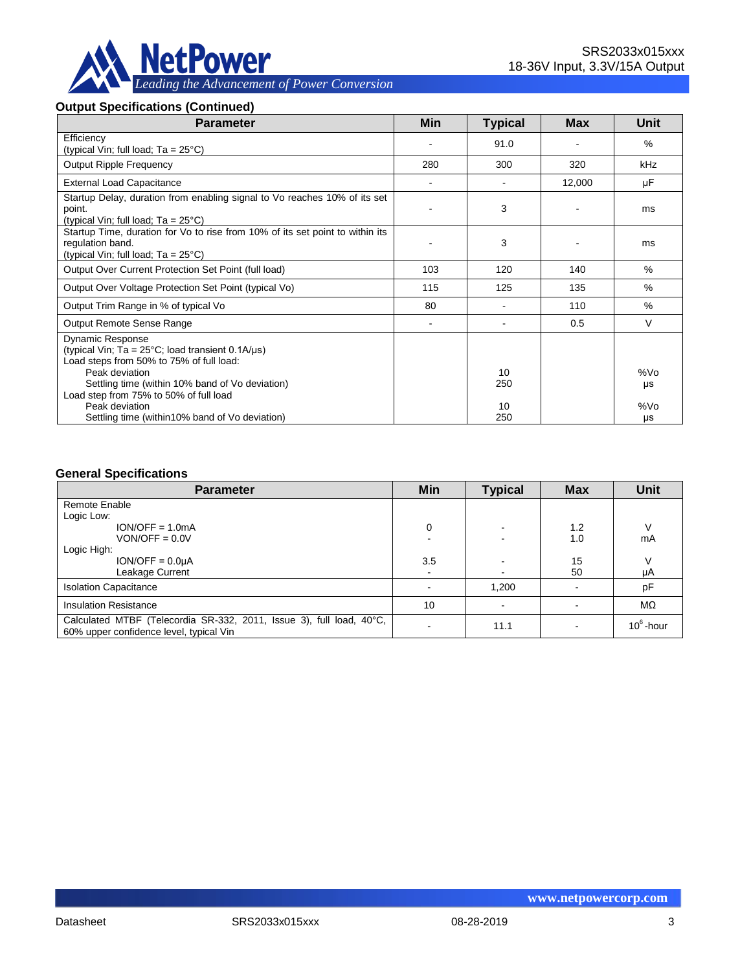

## **Output Specifications (Continued)**

| <b>Parameter</b>                                                                                                                                                                                                                                                         | <b>Min</b> | <b>Typical</b>  | <b>Max</b> | Unit             |
|--------------------------------------------------------------------------------------------------------------------------------------------------------------------------------------------------------------------------------------------------------------------------|------------|-----------------|------------|------------------|
| Efficiency<br>(typical Vin; full load; $Ta = 25^{\circ}C$ )                                                                                                                                                                                                              |            | 91.0            |            | $\%$             |
| <b>Output Ripple Frequency</b>                                                                                                                                                                                                                                           | 280        | 300             | 320        | kHz              |
| <b>External Load Capacitance</b>                                                                                                                                                                                                                                         |            |                 | 12,000     | μF               |
| Startup Delay, duration from enabling signal to Vo reaches 10% of its set<br>point.<br>(typical Vin; full load; $Ta = 25^{\circ}C$ )                                                                                                                                     |            | 3               |            | ms               |
| Startup Time, duration for Vo to rise from 10% of its set point to within its<br>regulation band.<br>(typical Vin; full load; $Ta = 25^{\circ}C$ )                                                                                                                       |            | 3               |            | ms               |
| Output Over Current Protection Set Point (full load)                                                                                                                                                                                                                     | 103        | 120             | 140        | $\%$             |
| Output Over Voltage Protection Set Point (typical Vo)                                                                                                                                                                                                                    | 115        | 125             | 135        | $\%$             |
| Output Trim Range in % of typical Vo                                                                                                                                                                                                                                     | 80         |                 | 110        | $\%$             |
| Output Remote Sense Range                                                                                                                                                                                                                                                |            |                 | 0.5        | $\vee$           |
| <b>Dynamic Response</b><br>(typical Vin; Ta = $25^{\circ}$ C; load transient 0.1A/ $\mu$ s)<br>Load steps from 50% to 75% of full load:<br>Peak deviation<br>Settling time (within 10% band of Vo deviation)<br>Load step from 75% to 50% of full load<br>Peak deviation |            | 10<br>250<br>10 |            | %Vo<br>μs<br>%Vo |
| Settling time (within 10% band of Vo deviation)                                                                                                                                                                                                                          |            | 250             |            | μs               |

#### **General Specifications**

| <b>Parameter</b>                                                                                                | Min | <b>Typical</b> | <b>Max</b> | <b>Unit</b>  |
|-----------------------------------------------------------------------------------------------------------------|-----|----------------|------------|--------------|
| Remote Enable                                                                                                   |     |                |            |              |
| Logic Low:                                                                                                      |     |                |            |              |
| $ION/OFF = 1.0mA$                                                                                               | 0   |                | 1.2        |              |
| $VON/OFF = 0.0V$                                                                                                |     |                | 1.0        | mA           |
| Logic High:                                                                                                     |     |                |            |              |
| $ION/OFF = 0.0UA$                                                                                               | 3.5 |                | 15         |              |
| Leakage Current                                                                                                 | ۰   | $\blacksquare$ | 50         | μA           |
| <b>Isolation Capacitance</b>                                                                                    |     | 1,200          |            | pF           |
| <b>Insulation Resistance</b>                                                                                    | 10  |                |            | $M\Omega$    |
| Calculated MTBF (Telecordia SR-332, 2011, Issue 3), full load, 40°C,<br>60% upper confidence level, typical Vin |     | 11.1           |            | $10^6$ -hour |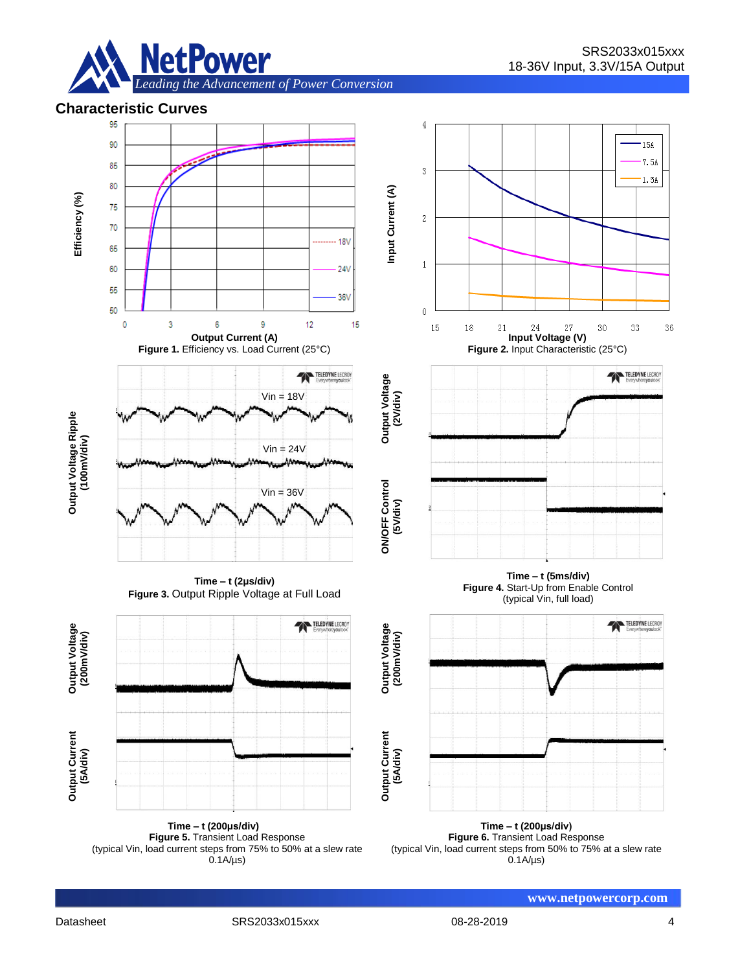

## **Characteristic Curves**



**Time – t (200μs/div) Figure 5.** Transient Load Response (typical Vin, load current steps from 75% to 50% at a slew rate  $0.1A/\mu s$ 

**Time – t (200μs/div) Figure 6.** Transient Load Response (typical Vin, load current steps from 50% to 75% at a slew rate  $0.1A/\mu s$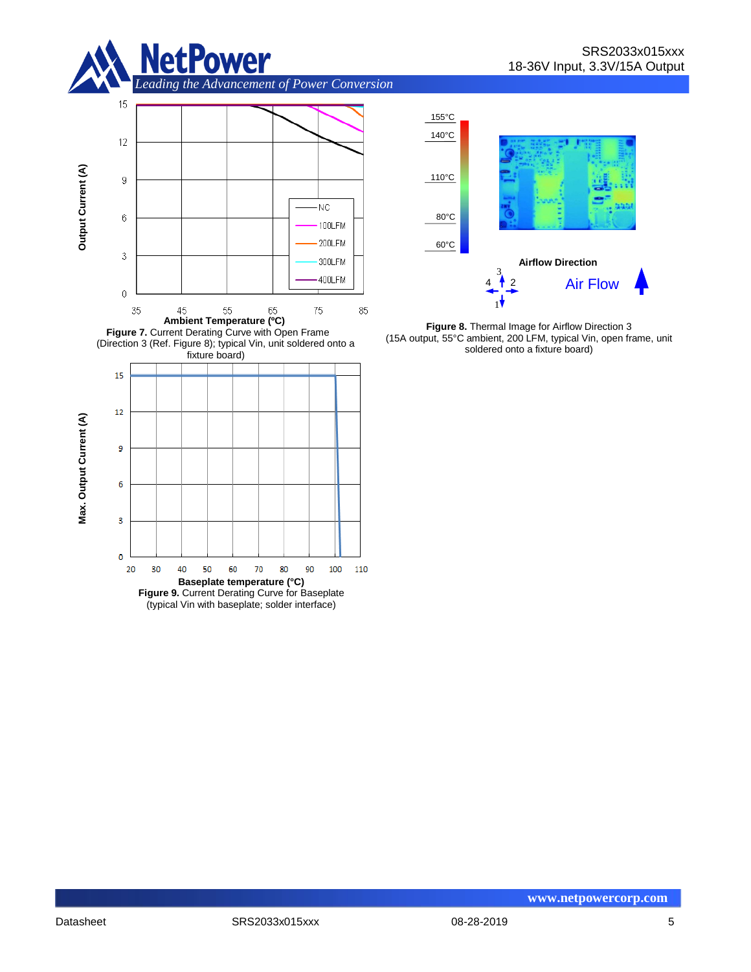





**Figure 8.** Thermal Image for Airflow Direction 3 (15A output, 55°C ambient, 200 LFM, typical Vin, open frame, unit soldered onto a fixture board)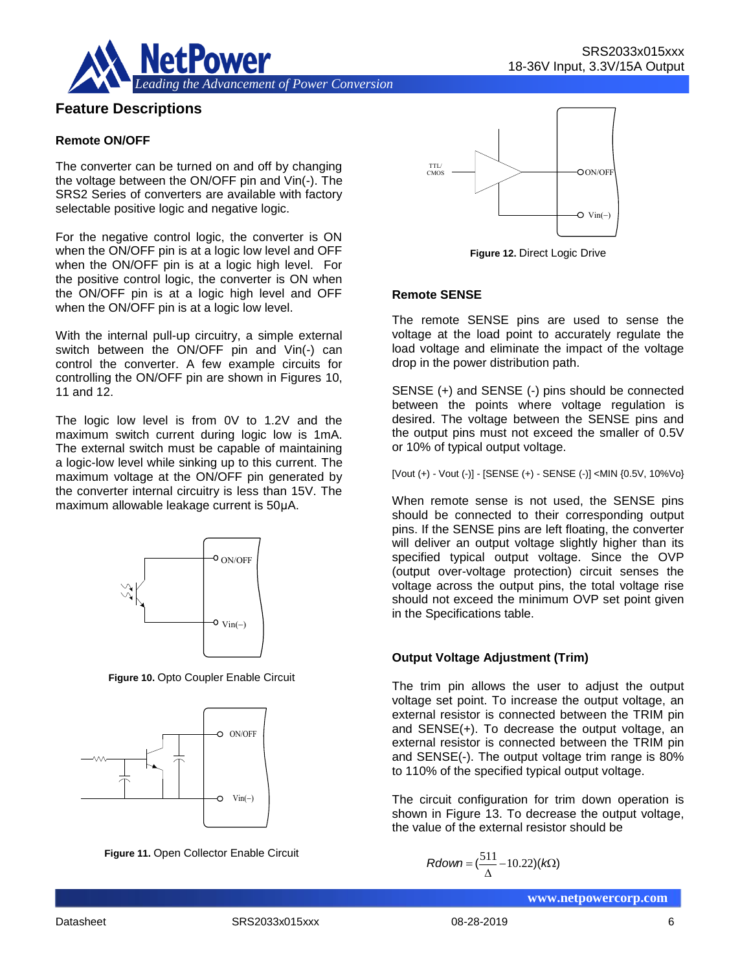

## **Feature Descriptions**

#### **Remote ON/OFF**

The converter can be turned on and off by changing the voltage between the ON/OFF pin and Vin(-). The SRS2 Series of converters are available with factory selectable positive logic and negative logic.

For the negative control logic, the converter is ON when the ON/OFF pin is at a logic low level and OFF when the ON/OFF pin is at a logic high level. For the positive control logic, the converter is ON when the ON/OFF pin is at a logic high level and OFF when the ON/OFF pin is at a logic low level.

With the internal pull-up circuitry, a simple external switch between the ON/OFF pin and Vin(-) can control the converter. A few example circuits for controlling the ON/OFF pin are shown in Figures 10, 11 and 12.

The logic low level is from 0V to 1.2V and the maximum switch current during logic low is 1mA. The external switch must be capable of maintaining a logic-low level while sinking up to this current. The maximum voltage at the ON/OFF pin generated by the converter internal circuitry is less than 15V. The maximum allowable leakage current is 50μA.



**Figure 10.** Opto Coupler Enable Circuit







**Figure 12.** Direct Logic Drive

#### **Remote SENSE**

The remote SENSE pins are used to sense the voltage at the load point to accurately regulate the load voltage and eliminate the impact of the voltage drop in the power distribution path.

SENSE (+) and SENSE (-) pins should be connected between the points where voltage regulation is desired. The voltage between the SENSE pins and the output pins must not exceed the smaller of 0.5V or 10% of typical output voltage.

[Vout (+) - Vout (-)] - [SENSE (+) - SENSE (-)] <MIN {0.5V, 10%Vo}

When remote sense is not used, the SENSE pins should be connected to their corresponding output pins. If the SENSE pins are left floating, the converter will deliver an output voltage slightly higher than its specified typical output voltage. Since the OVP (output over-voltage protection) circuit senses the voltage across the output pins, the total voltage rise should not exceed the minimum OVP set point given in the Specifications table.

#### **Output Voltage Adjustment (Trim)**

The trim pin allows the user to adjust the output voltage set point. To increase the output voltage, an external resistor is connected between the TRIM pin and SENSE(+). To decrease the output voltage, an external resistor is connected between the TRIM pin and SENSE(-). The output voltage trim range is 80% to 110% of the specified typical output voltage. ON/OFF<br>
Specified typical courbut over-voltage<br>
voltage across the<br>
should not exceed in the Specifications<br>
Finable Circuit<br>
The trim pin allow<br>
voltage Ad<br>
The trim pin allow<br>
voltage set point. T<br>
external resistor is<br>

The circuit configuration for trim down operation is shown in Figure 13. To decrease the output voltage. the value of the external resistor should be

$$
Rdown = (\frac{511}{\Delta} - 10.22)(k\Omega)
$$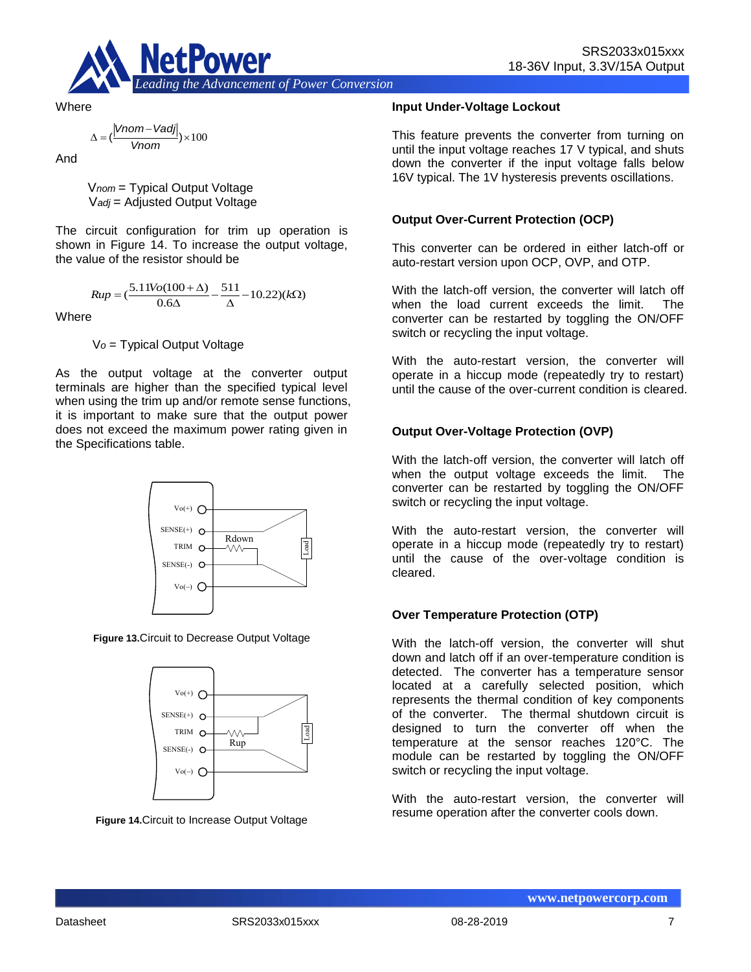



**Where** 

$$
\Delta = (\frac{|Vnom - Vadj|}{Vnom}) \times 100
$$

And

V*nom* = Typical Output Voltage V*adj* = Adjusted Output Voltage

The circuit configuration for trim up operation is shown in Figure 14. To increase the output voltage, the value of the resistor should be

$$
Rup = \left(\frac{5.11 V o (100 + \Delta)}{0.6 \Delta} - \frac{511}{\Delta} - 10.22\right) (k\Omega)
$$

**Where** 

V*o* = Typical Output Voltage

As the output voltage at the converter output terminals are higher than the specified typical level when using the trim up and/or remote sense functions, it is important to make sure that the output power does not exceed the maximum power rating given in the Specifications table.



**Figure 13.**Circuit to Decrease Output Voltage



**Figure 14.**Circuit to Increase Output Voltage

#### **Input Under-Voltage Lockout**

This feature prevents the converter from turning on until the input voltage reaches 17 V typical, and shuts down the converter if the input voltage falls below 16V typical. The 1V hysteresis prevents oscillations.

#### **Output Over-Current Protection (OCP)**

This converter can be ordered in either latch-off or auto-restart version upon OCP, OVP, and OTP.

With the latch-off version, the converter will latch off when the load current exceeds the limit. The converter can be restarted by toggling the ON/OFF switch or recycling the input voltage.

With the auto-restart version, the converter will operate in a hiccup mode (repeatedly try to restart) until the cause of the over-current condition is cleared.

#### **Output Over-Voltage Protection (OVP)**

With the latch-off version, the converter will latch off when the output voltage exceeds the limit. The converter can be restarted by toggling the ON/OFF switch or recycling the input voltage.

With the auto-restart version, the converter will operate in a hiccup mode (repeatedly try to restart) until the cause of the over-voltage condition is cleared.

#### **Over Temperature Protection (OTP)**

With the latch-off version, the converter will shut down and latch off if an over-temperature condition is detected. The converter has a temperature sensor located at a carefully selected position, which represents the thermal condition of key components of the converter. The thermal shutdown circuit is designed to turn the converter off when the temperature at the sensor reaches 120°C. The module can be restarted by toggling the ON/OFF switch or recycling the input voltage.

With the auto-restart version, the converter will resume operation after the converter cools down.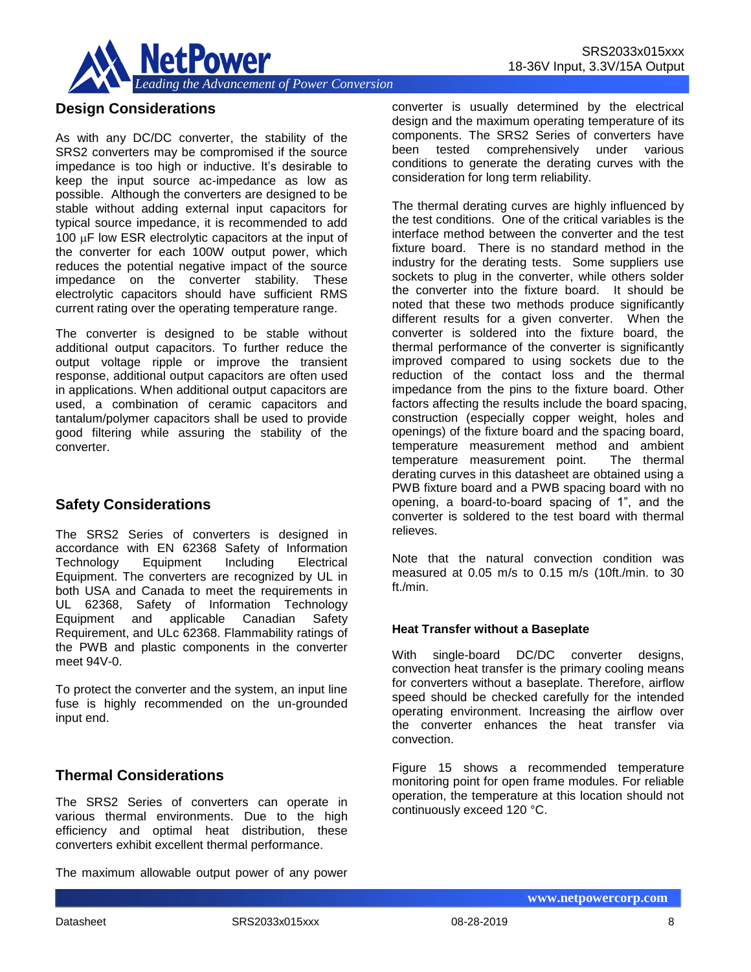

## **Design Considerations**

As with any DC/DC converter, the stability of the SRS2 converters may be compromised if the source impedance is too high or inductive. It's desirable to keep the input source ac-impedance as low as possible. Although the converters are designed to be stable without adding external input capacitors for typical source impedance, it is recommended to add 100  $\mu$ F low ESR electrolytic capacitors at the input of the converter for each 100W output power, which reduces the potential negative impact of the source impedance on the converter stability. These electrolytic capacitors should have sufficient RMS current rating over the operating temperature range.

The converter is designed to be stable without additional output capacitors. To further reduce the output voltage ripple or improve the transient response, additional output capacitors are often used in applications. When additional output capacitors are used, a combination of ceramic capacitors and tantalum/polymer capacitors shall be used to provide good filtering while assuring the stability of the converter.

## **Safety Considerations**

The SRS2 Series of converters is designed in accordance with EN 62368 Safety of Information Technology Equipment Including Electrical Equipment. The converters are recognized by UL in both USA and Canada to meet the requirements in UL 62368, Safety of Information Technology Equipment and applicable Canadian Safety Requirement, and ULc 62368. Flammability ratings of the PWB and plastic components in the converter meet 94V-0.

To protect the converter and the system, an input line fuse is highly recommended on the un-grounded input end.

## **Thermal Considerations**

The SRS2 Series of converters can operate in various thermal environments. Due to the high efficiency and optimal heat distribution, these converters exhibit excellent thermal performance.

The maximum allowable output power of any power

converter is usually determined by the electrical design and the maximum operating temperature of its components. The SRS2 Series of converters have been tested comprehensively under various conditions to generate the derating curves with the consideration for long term reliability.

The thermal derating curves are highly influenced by the test conditions. One of the critical variables is the interface method between the converter and the test fixture board. There is no standard method in the industry for the derating tests. Some suppliers use sockets to plug in the converter, while others solder the converter into the fixture board. It should be noted that these two methods produce significantly different results for a given converter. When the converter is soldered into the fixture board, the thermal performance of the converter is significantly improved compared to using sockets due to the reduction of the contact loss and the thermal impedance from the pins to the fixture board. Other factors affecting the results include the board spacing, construction (especially copper weight, holes and openings) of the fixture board and the spacing board, temperature measurement method and ambient<br>temperature measurement point. The thermal temperature measurement point. derating curves in this datasheet are obtained using a PWB fixture board and a PWB spacing board with no opening, a board-to-board spacing of 1", and the converter is soldered to the test board with thermal relieves.

Note that the natural convection condition was measured at 0.05 m/s to 0.15 m/s (10ft./min. to 30 ft./min.

#### **Heat Transfer without a Baseplate**

With single-board DC/DC converter designs, convection heat transfer is the primary cooling means for converters without a baseplate. Therefore, airflow speed should be checked carefully for the intended operating environment. Increasing the airflow over the converter enhances the heat transfer via convection.

Figure 15 shows a recommended temperature monitoring point for open frame modules. For reliable operation, the temperature at this location should not continuously exceed 120 °C.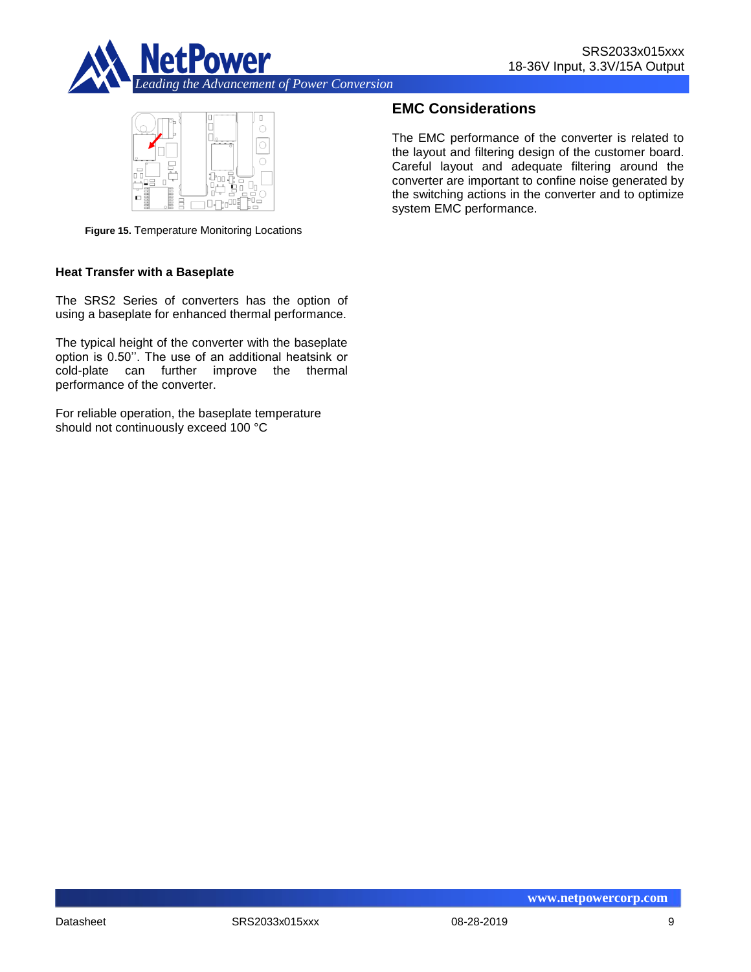



**Figure 15.** Temperature Monitoring Locations

#### **Heat Transfer with a Baseplate**

The SRS2 Series of converters has the option of using a baseplate for enhanced thermal performance.

The typical height of the converter with the baseplate option is 0.50''. The use of an additional heatsink or cold-plate can further improve the thermal performance of the converter.

For reliable operation, the baseplate temperature should not continuously exceed 100 °C

## **EMC Considerations**

The EMC performance of the converter is related to the layout and filtering design of the customer board. Careful layout and adequate filtering around the converter are important to confine noise generated by the switching actions in the converter and to optimize system EMC performance.